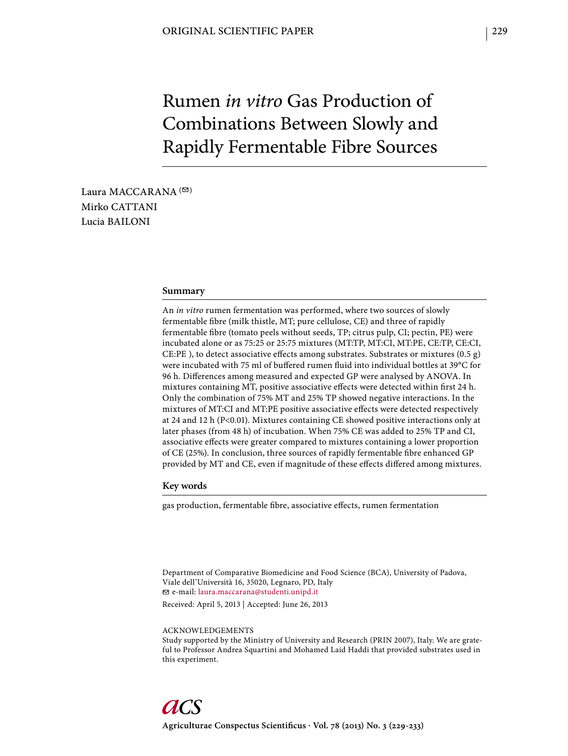# Rumen *in vitro* Gas Production of Combinations Between Slowly and Rapidly Fermentable Fibre Sources

Laura MACCARANA  $($ <sup> $\odot)$ </sup> Mirko CATTANI Lucia BAILONI

#### **Summary**

An *in vitro* rumen fermentation was performed, where two sources of slowly fermentable fibre (milk thistle, MT; pure cellulose, CE) and three of rapidly fermentable fibre (tomato peels without seeds, TP; citrus pulp, CI; pectin, PE) were incubated alone or as 75:25 or 25:75 mixtures (MT:TP, MT:CI, MT:PE, CE:TP, CE:CI, CE:PE ), to detect associative effects among substrates. Substrates or mixtures  $(0.5 \text{ g})$ were incubated with 75 ml of buffered rumen fluid into individual bottles at 39°C for 96 h. Differences among measured and expected GP were analysed by ANOVA. In mixtures containing MT, positive associative effects were detected within first 24 h. Only the combination of 75% MT and 25% TP showed negative interactions. In the mixtures of MT:CI and MT:PE positive associative effects were detected respectively at 24 and 12 h (P<0.01). Mixtures containing CE showed positive interactions only at later phases (from 48 h) of incubation. When 75% CE was added to 25% TP and CI, associative effects were greater compared to mixtures containing a lower proportion of CE (25%). In conclusion, three sources of rapidly fermentable fibre enhanced GP provided by MT and CE, even if magnitude of these effects differed among mixtures.

#### **Key words**

gas production, fermentable fibre, associative effects, rumen fermentation

Department of Comparative Biomedicine and Food Science (BCA), University of Padova, Viale dell'Università 16, 35020, Legnaro, PD, Italy e-mail: laura.maccarana@studenti.unipd.it

Received: April 5, 2013 | Accepted: June 26, 2013

ACKNOWLEDGEMENTS

Study supported by the Ministry of University and Research (PRIN 2007), Italy. We are grateful to Professor Andrea Squartini and Mohamed Laid Haddi that provided substrates used in this experiment.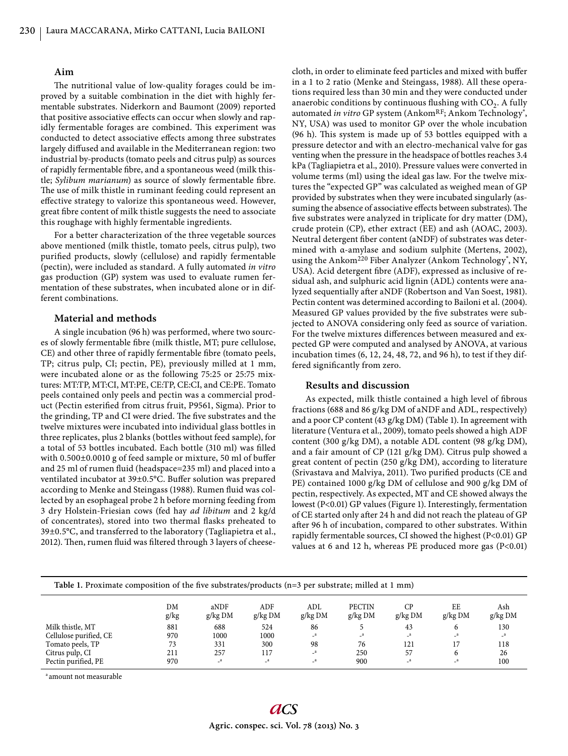## **Aim**

The nutritional value of low-quality forages could be improved by a suitable combination in the diet with highly fermentable substrates. Niderkorn and Baumont (2009) reported that positive associative effects can occur when slowly and rapidly fermentable forages are combined. This experiment was conducted to detect associative effects among three substrates largely diffused and available in the Mediterranean region: two industrial by-products (tomato peels and citrus pulp) as sources of rapidly fermentable fibre, and a spontaneous weed (milk thistle; *Sylibum marianum*) as source of slowly fermentable fibre. The use of milk thistle in ruminant feeding could represent an effective strategy to valorize this spontaneous weed. However, great fibre content of milk thistle suggests the need to associate this roughage with highly fermentable ingredients.

For a better characterization of the three vegetable sources above mentioned (milk thistle, tomato peels, citrus pulp), two purified products, slowly (cellulose) and rapidly fermentable (pectin), were included as standard. A fully automated *in vitro* gas production (GP) system was used to evaluate rumen fermentation of these substrates, when incubated alone or in different combinations.

## **Material and methods**

A single incubation (96 h) was performed, where two sources of slowly fermentable fibre (milk thistle, MT; pure cellulose, CE) and other three of rapidly fermentable fibre (tomato peels, TP; citrus pulp, CI; pectin, PE), previously milled at 1 mm, were incubated alone or as the following 75:25 or 25:75 mixtures: MT:TP, MT:CI, MT:PE, CE:TP, CE:CI, and CE:PE. Tomato peels contained only peels and pectin was a commercial product (Pectin esterified from citrus fruit, P9561, Sigma). Prior to the grinding, TP and CI were dried. The five substrates and the twelve mixtures were incubated into individual glass bottles in three replicates, plus 2 blanks (bottles without feed sample), for a total of 53 bottles incubated. Each bottle (310 ml) was filled with  $0.500\pm0.0010$  g of feed sample or mixture, 50 ml of buffer and 25 ml of rumen fluid (headspace=235 ml) and placed into a ventilated incubator at 39±0.5°C. Buffer solution was prepared according to Menke and Steingass (1988). Rumen fluid was collected by an esophageal probe 2 h before morning feeding from 3 dry Holstein-Friesian cows (fed hay *ad libitum* and 2 kg/d of concentrates), stored into two thermal flasks preheated to 39±0.5°C, and transferred to the laboratory (Tagliapietra et al., 2012). Then, rumen fluid was filtered through 3 layers of cheesecloth, in order to eliminate feed particles and mixed with buffer in a 1 to 2 ratio (Menke and Steingass, 1988). All these operations required less than 30 min and they were conducted under anaerobic conditions by continuous flushing with  $CO<sub>2</sub>$ . A fully automated *in vitro* GP system (Ankom<sup>RF</sup>; Ankom Technology<sup>®</sup>, NY, USA) was used to monitor GP over the whole incubation (96 h). This system is made up of 53 bottles equipped with a pressure detector and with an electro-mechanical valve for gas venting when the pressure in the headspace of bottles reaches 3.4 kPa (Tagliapietra et al., 2010). Pressure values were converted in volume terms (ml) using the ideal gas law. For the twelve mixtures the "expected GP" was calculated as weighed mean of GP provided by substrates when they were incubated singularly (assuming the absence of associative effects between substrates). The five substrates were analyzed in triplicate for dry matter (DM), crude protein (CP), ether extract (EE) and ash (AOAC, 2003). Neutral detergent fiber content (aNDF) of substrates was determined with α-amylase and sodium sulphite (Mertens, 2002), using the Ankom<sup>220</sup> Fiber Analyzer (Ankom Technology<sup>®</sup>, NY, USA). Acid detergent fibre (ADF), expressed as inclusive of residual ash, and sulphuric acid lignin (ADL) contents were analyzed sequentially after aNDF (Robertson and Van Soest, 1981). Pectin content was determined according to Bailoni et al. (2004). Measured GP values provided by the five substrates were subjected to ANOVA considering only feed as source of variation. For the twelve mixtures differences between measured and expected GP were computed and analysed by ANOVA, at various incubation times (6, 12, 24, 48, 72, and 96 h), to test if they differed significantly from zero.

## **Results and discussion**

As expected, milk thistle contained a high level of fibrous fractions (688 and 86 g/kg DM of aNDF and ADL, respectively) and a poor CP content (43 g/kg DM) (Table 1). In agreement with literature (Ventura et al., 2009), tomato peels showed a high ADF content (300 g/kg DM), a notable ADL content (98 g/kg DM), and a fair amount of CP (121 g/kg DM). Citrus pulp showed a great content of pectin (250 g/kg DM), according to literature (Srivastava and Malviya, 2011). Two purified products (CE and PE) contained 1000 g/kg DM of cellulose and 900 g/kg DM of pectin, respectively. As expected, MT and CE showed always the lowest (P<0.01) GP values (Figure 1). Interestingly, fermentation of CE started only after 24 h and did not reach the plateau of GP after 96 h of incubation, compared to other substrates. Within rapidly fermentable sources, CI showed the highest (P<0.01) GP values at 6 and 12 h, whereas PE produced more gas (P<0.01)

| Table 1. Proximate composition of the five substrates/products $(n=3$ per substrate; milled at 1 mm) |            |                   |                |                |                            |                |               |                  |  |  |  |
|------------------------------------------------------------------------------------------------------|------------|-------------------|----------------|----------------|----------------------------|----------------|---------------|------------------|--|--|--|
|                                                                                                      | DM<br>g/kg | aNDF<br>$g/kg$ DM | ADF<br>g/kg DM | ADL<br>g/kg DM | <b>PECTIN</b><br>$g/kg$ DM | CP.<br>g/kg DM | EE<br>g/kg DM | Ash<br>$g/kg$ DM |  |  |  |
| Milk thistle, MT                                                                                     | 881        | 688               | 524            | 86             |                            | 43             | 6             | 130              |  |  |  |
| Cellulose purified, CE                                                                               | 970        | 1000              | 1000           | $\mathbf{a}$   |                            | $\mathbf{a}$   | $\mathbf{a}$  |                  |  |  |  |
| Tomato peels, TP                                                                                     | 73         | 331               | 300            | 98             | 76                         | 121            |               | 118              |  |  |  |
| Citrus pulp, CI                                                                                      | 211        | 257               | 117            | $\sqrt{a}$     | 250                        | 57             | 6             | 26               |  |  |  |
| Pectin purified, PE                                                                                  | 970        | a                 | $\mathbf{a}$   | $\mathbf{a}$   | 900                        | $\mathbf{a}$   | $\mathbf{a}$  | 100              |  |  |  |

a amount not measurable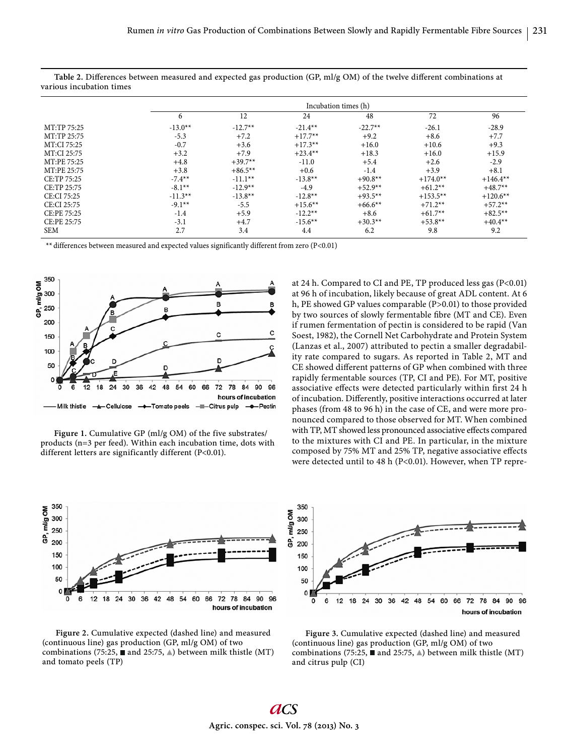|             | Incubation times (h) |           |           |           |            |            |  |  |  |  |  |
|-------------|----------------------|-----------|-----------|-----------|------------|------------|--|--|--|--|--|
|             | 6                    | 12        | 24        | 48        | 72         | 96         |  |  |  |  |  |
| MT:TP 75:25 | $-13.0**$            | $-12.7**$ | $-21.4**$ | $-22.7**$ | $-26.1$    | $-28.9$    |  |  |  |  |  |
| MT:TP 25:75 | $-5.3$               | $+7.2$    | $+17.7**$ | $+9.2$    | $+8.6$     | $+7.7$     |  |  |  |  |  |
| MT:CI 75:25 | $-0.7$               | $+3.6$    | $+17.3**$ | $+16.0$   | $+10.6$    | $+9.3$     |  |  |  |  |  |
| MT:CI 25:75 | $+3.2$               | $+7.9$    | $+23.4**$ | $+18.3$   | $+16.0$    | $+15.9$    |  |  |  |  |  |
| MT:PE 75:25 | $+4.8$               | $+39.7**$ | $-11.0$   | $+5.4$    | $+2.6$     | $-2.9$     |  |  |  |  |  |
| MT:PE 25:75 | $+3.8$               | $+86.5**$ | $+0.6$    | $-1.4$    | $+3.9$     | $+8.1$     |  |  |  |  |  |
| CE:TP 75:25 | $-7.4**$             | $-11.1**$ | $-13.8**$ | $+90.8**$ | $+174.0**$ | $+146.4**$ |  |  |  |  |  |
| CE:TP 25:75 | $-8.1**$             | $-12.9**$ | $-4.9$    | $+52.9**$ | $+61.2**$  | $+48.7**$  |  |  |  |  |  |
| CE:CI 75:25 | $-11.3**$            | $-13.8**$ | $-12.8**$ | $+93.5**$ | $+153.5**$ | $+120.6**$ |  |  |  |  |  |
| CE:CI 25:75 | $-9.1**$             | $-5.5$    | $+15.6**$ | $+66.6**$ | $+71.2**$  | $+57.2**$  |  |  |  |  |  |
| CE:PE 75:25 | $-1.4$               | $+5.9$    | $-12.2**$ | $+8.6$    | $+61.7**$  | $+82.5**$  |  |  |  |  |  |
| CE:PE 25:75 | $-3.1$               | $+4.7$    | $-15.6**$ | $+30.3**$ | $+53.8**$  | $+40.4**$  |  |  |  |  |  |
| <b>SEM</b>  | 2.7                  | 3.4       | 4.4       | 6.2       | 9.8        | 9.2        |  |  |  |  |  |

Table 2. Differences between measured and expected gas production (GP, ml/g OM) of the twelve different combinations at various incubation times

\*\* differences between measured and expected values significantly different from zero (P<0.01)



Figure 1. Cumulative GP (ml/g OM) of the five substrates/ products (n=3 per feed). Within each incubation time, dots with different letters are significantly different (P<0.01).

at 24 h. Compared to CI and PE, TP produced less gas (P<0.01) at 96 h of incubation, likely because of great ADL content. At 6 h, PE showed GP values comparable (P>0.01) to those provided by two sources of slowly fermentable fibre (MT and CE). Even if rumen fermentation of pectin is considered to be rapid (Van Soest, 1982), the Cornell Net Carbohydrate and Protein System (Lanzas et al*.*, 2007) attributed to pectin a smaller degradability rate compared to sugars. As reported in Table 2, MT and CE showed different patterns of GP when combined with three rapidly fermentable sources (TP, CI and PE). For MT, positive associative effects were detected particularly within first 24 h of incubation. Differently, positive interactions occurred at later phases (from 48 to 96 h) in the case of CE, and were more pronounced compared to those observed for MT. When combined with TP, MT showed less pronounced associative effects compared to the mixtures with CI and PE. In particular, in the mixture composed by 75% MT and 25% TP, negative associative effects were detected until to 48 h (P<0.01). However, when TP repre-



**Figure 2.** Cumulative expected (dashed line) and measured (continuous line) gas production (GP, ml/g OM) of two combinations (75:25,  $\blacksquare$  and 25:75,  $\blacktriangle$ ) between milk thistle (MT) and tomato peels (TP)



**Figure 3.** Cumulative expected (dashed line) and measured (continuous line) gas production (GP, ml/g OM) of two combinations (75:25,  $\blacksquare$  and 25:75,  $\blacktriangle$ ) between milk thistle (MT) and citrus pulp (CI)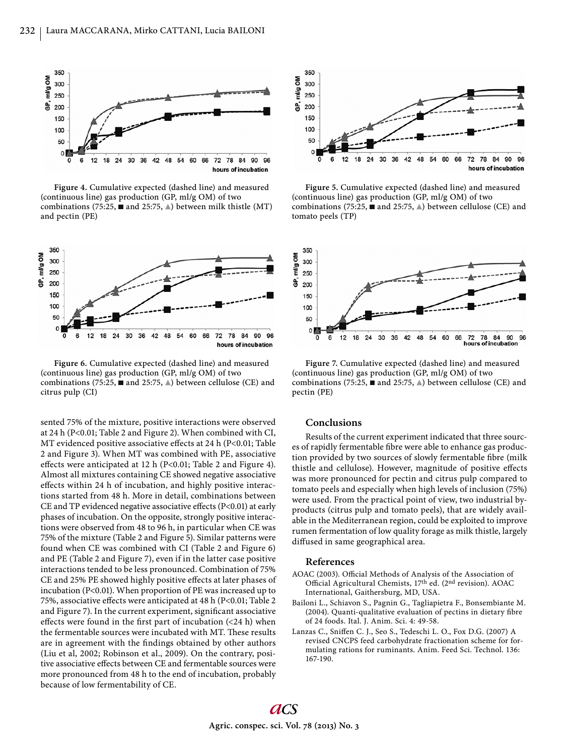

**Figure 4.** Cumulative expected (dashed line) and measured (continuous line) gas production (GP, ml/g OM) of two combinations (75:25,  $\blacksquare$  and 25:75,  $\blacktriangle$ ) between milk thistle (MT) and pectin (PE)



**Figure 6.** Cumulative expected (dashed line) and measured (continuous line) gas production (GP, ml/g OM) of two combinations (75:25,  $\blacksquare$  and 25:75,  $\blacktriangle$ ) between cellulose (CE) and citrus pulp (CI)

sented 75% of the mixture, positive interactions were observed at 24 h (P<0.01; Table 2 and Figure 2). When combined with CI, MT evidenced positive associative effects at 24 h (P<0.01; Table 2 and Figure 3). When MT was combined with PE, associative effects were anticipated at 12 h (P<0.01; Table 2 and Figure 4). Almost all mixtures containing CE showed negative associative effects within 24 h of incubation, and highly positive interactions started from 48 h. More in detail, combinations between CE and TP evidenced negative associative effects  $(P<0.01)$  at early phases of incubation. On the opposite, strongly positive interactions were observed from 48 to 96 h, in particular when CE was 75% of the mixture (Table 2 and Figure 5). Similar patterns were found when CE was combined with CI (Table 2 and Figure 6) and PE (Table 2 and Figure 7), even if in the latter case positive interactions tended to be less pronounced. Combination of 75% CE and 25% PE showed highly positive effects at later phases of incubation (P<0.01). When proportion of PE was increased up to 75%, associative effects were anticipated at 48 h (P<0.01; Table 2 and Figure 7). In the current experiment, significant associative effects were found in the first part of incubation  $\left($ <24 h) when the fermentable sources were incubated with MT. These results are in agreement with the findings obtained by other authors (Liu et al, 2002; Robinson et al., 2009). On the contrary, positive associative effects between CE and fermentable sources were more pronounced from 48 h to the end of incubation, probably because of low fermentability of CE.



**Figure 5.** Cumulative expected (dashed line) and measured (continuous line) gas production (GP, ml/g OM) of two combinations (75:25,  $\blacksquare$  and 25:75,  $\blacktriangle$ ) between cellulose (CE) and tomato peels (TP)



**Figure 7.** Cumulative expected (dashed line) and measured (continuous line) gas production (GP, ml/g OM) of two combinations (75:25,  $\blacksquare$  and 25:75,  $\blacktriangle$ ) between cellulose (CE) and pectin (PE)

### **Conclusions**

Results of the current experiment indicated that three sources of rapidly fermentable fibre were able to enhance gas production provided by two sources of slowly fermentable fibre (milk thistle and cellulose). However, magnitude of positive effects was more pronounced for pectin and citrus pulp compared to tomato peels and especially when high levels of inclusion (75%) were used. From the practical point of view, two industrial byproducts (citrus pulp and tomato peels), that are widely available in the Mediterranean region, could be exploited to improve rumen fermentation of low quality forage as milk thistle, largely diffused in same geographical area.

#### **References**

- AOAC (2003). Official Methods of Analysis of the Association of Official Agricultural Chemists, 17th ed. (2nd revision). AOAC International, Gaithersburg, MD, USA.
- Bailoni L., Schiavon S., Pagnin G., Tagliapietra F., Bonsembiante M. (2004). Quanti-qualitative evaluation of pectins in dietary fibre of 24 foods. Ital. J. Anim. Sci. 4: 49-58.
- Lanzas C., Sniffen C. J., Seo S., Tedeschi L. O., Fox D.G. (2007) A revised CNCPS feed carbohydrate fractionation scheme for formulating rations for ruminants. Anim. Feed Sci. Technol. 136: 167-190.